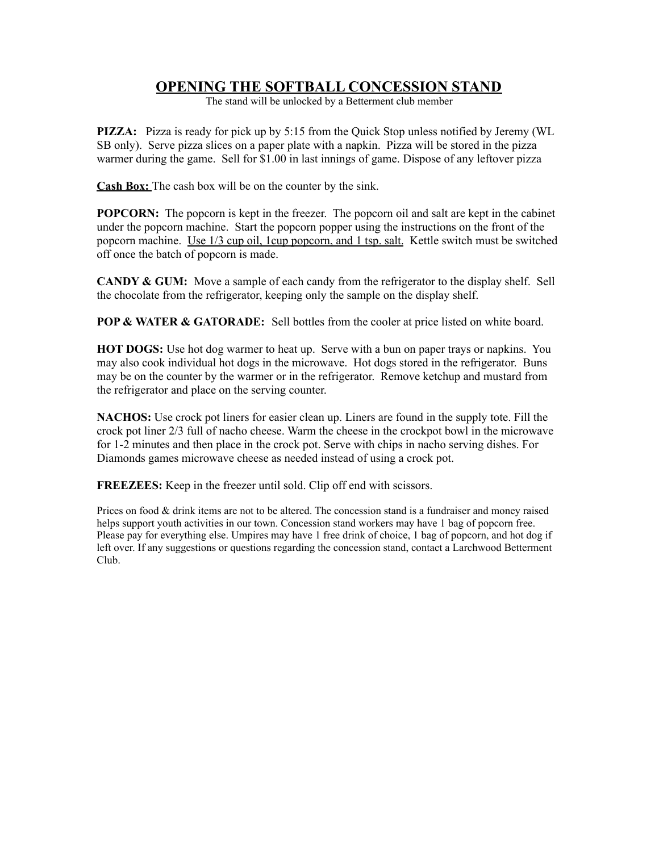## **OPENING THE SOFTBALL CONCESSION STAND**

The stand will be unlocked by a Betterment club member

**PIZZA:** Pizza is ready for pick up by 5:15 from the Quick Stop unless notified by Jeremy (WL SB only). Serve pizza slices on a paper plate with a napkin. Pizza will be stored in the pizza warmer during the game. Sell for \$1.00 in last innings of game. Dispose of any leftover pizza

**Cash Box:** The cash box will be on the counter by the sink.

**POPCORN:** The popcorn is kept in the freezer. The popcorn oil and salt are kept in the cabinet under the popcorn machine. Start the popcorn popper using the instructions on the front of the popcorn machine. Use 1/3 cup oil, 1cup popcorn, and 1 tsp. salt. Kettle switch must be switched off once the batch of popcorn is made.

**CANDY & GUM:** Move a sample of each candy from the refrigerator to the display shelf. Sell the chocolate from the refrigerator, keeping only the sample on the display shelf.

**POP & WATER & GATORADE:** Sell bottles from the cooler at price listed on white board.

**HOT DOGS:** Use hot dog warmer to heat up. Serve with a bun on paper trays or napkins. You may also cook individual hot dogs in the microwave. Hot dogs stored in the refrigerator. Buns may be on the counter by the warmer or in the refrigerator. Remove ketchup and mustard from the refrigerator and place on the serving counter.

**NACHOS:** Use crock pot liners for easier clean up. Liners are found in the supply tote. Fill the crock pot liner 2/3 full of nacho cheese. Warm the cheese in the crockpot bowl in the microwave for 1-2 minutes and then place in the crock pot. Serve with chips in nacho serving dishes. For Diamonds games microwave cheese as needed instead of using a crock pot.

**FREEZEES:** Keep in the freezer until sold. Clip off end with scissors.

Prices on food & drink items are not to be altered. The concession stand is a fundraiser and money raised helps support youth activities in our town. Concession stand workers may have 1 bag of popcorn free. Please pay for everything else. Umpires may have 1 free drink of choice, 1 bag of popcorn, and hot dog if left over. If any suggestions or questions regarding the concession stand, contact a Larchwood Betterment Club.